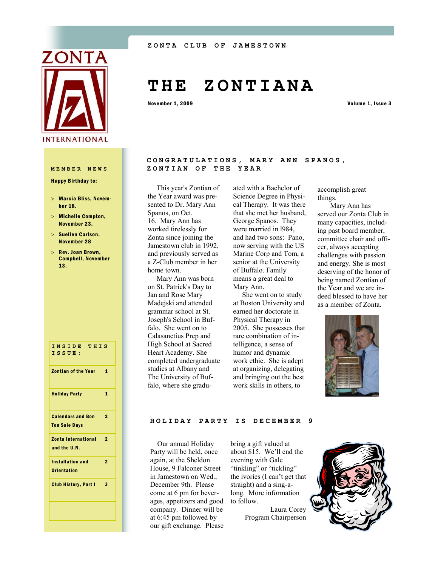

Happy Birthday to:

- Marcia Bliss, November 18.
- Michelle Compton, November 23.
- $>$  Suellen Carlson, November 28
- $>$  Rev. Joan Brown, Campbell, November 13.

| INSIDE THIS<br>ISSUE:                            |                |
|--------------------------------------------------|----------------|
| <b>Zontian of the Year</b>                       | $\mathbf{1}$   |
| <b>Holiday Party</b>                             | 1              |
| <b>Calendars and Bon</b><br><b>Ton Sale Days</b> | $\overline{2}$ |
| <b>Zonta International</b><br>and the U.N.       | $\overline{2}$ |
| <b>Installation and</b><br><b>Orientation</b>    | $\overline{2}$ |
| <b>Club History, Part I</b>                      | 3              |
|                                                  |                |

# **T H E Z O N T I A N A**

November 1, 2009 Volume 1, Issue 3

### CONGRATULATIONS, MARY ANN SPANOS, **MEMBER NEWS ZONTIAN OF THE YEAR**

 This year's Zontian of the Year award was presented to Dr. Mary Ann Spanos, on Oct. 16. Mary Ann has worked tirelessly for Zonta since joining the Jamestown club in 1992, and previously served as a Z-Club member in her home town.

 Mary Ann was born on St. Patrick's Day to Jan and Rose Mary Madejski and attended grammar school at St. Joseph's School in Buffalo. She went on to Calasanctius Prep and High School at Sacred Heart Academy. She completed undergraduate studies at Albany and The University of Buffalo, where she graduated with a Bachelor of Science Degree in Physical Therapy. It was there that she met her husband, George Spanos. They were married in l984, and had two sons: Pano, now serving with the US Marine Corp and Tom, a senior at the University of Buffalo. Family means a great deal to Mary Ann.

 She went on to study at Boston University and earned her doctorate in Physical Therapy in 2005. She possesses that rare combination of intelligence, a sense of humor and dynamic work ethic. She is adept at organizing, delegating and bringing out the best work skills in others, to

accomplish great things.

 Mary Ann has served our Zonta Club in many capacities, including past board member, committee chair and officer, always accepting challenges with passion and energy. She is most deserving of the honor of being named Zontian of the Year and we are indeed blessed to have her as a member of Zonta.



#### **HOLIDAY PARTY IS DECEMBER 9**

 Our annual Holiday Party will be held, once again, at the Sheldon House, 9 Falconer Street in Jamestown on Wed., December 9th. Please come at 6 pm for beverages, appetizers and good company. Dinner will be at 6:45 pm followed by our gift exchange. Please

bring a gift valued at about \$15. We'll end the evening with Gale "tinkling" or "tickling" the ivories (I can't get that straight) and a sing-along. More information to follow.

> Laura Corey Program Chairperson

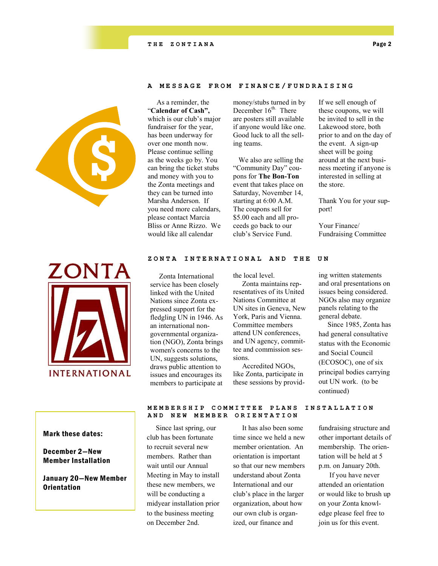

## **A MESSAGE FROM FINAN C E / F U N D R A I S I N G**

 As a reminder, the "**Calendar of Cash",** which is our club's major fundraiser for the year, has been underway for over one month now. Please continue selling as the weeks go by. You can bring the ticket stubs and money with you to the Zonta meetings and they can be turned into Marsha Anderson. If you need more calendars, please contact Marcia Bliss or Anne Rizzo. We would like all calendar

money/stubs turned in by December 16<sup>th.</sup> There are posters still available if anyone would like one. Good luck to all the selling teams.

 We also are selling the "Community Day" coupons for **The Bon-Ton** event that takes place on Saturday, November 14, starting at 6:00 A.M. The coupons sell for \$5.00 each and all proceeds go back to our club's Service Fund.

If we sell enough of these coupons, we will be invited to sell in the Lakewood store, both prior to and on the day of the event. A sign-up sheet will be going around at the next business meeting if anyone is interested in selling at the store.

Thank You for your support!

Your Finance/ Fundraising Committee



#### ZONTA INTERNATIONAL AND THE UN

 Zonta International service has been closely linked with the United Nations since Zonta expressed support for the fledgling UN in 1946. As an international nongovernmental organization (NGO), Zonta brings women's concerns to the UN, suggests solutions, draws public attention to issues and encourages its members to participate at

the local level.

 Zonta maintains representatives of its United Nations Committee at UN sites in Geneva, New York, Paris and Vienna. Committee members attend UN conferences, and UN agency, committee and commission sessions.

 Accredited NGOs, like Zonta, participate in these sessions by providing written statements and oral presentations on issues being considered. NGOs also may organize panels relating to the general debate.

 Since 1985, Zonta has had general consultative status with the Economic and Social Council (ECOSOC), one of six principal bodies carrying out UN work. (to be continued)

### Mark these dates:

# December 2—New Member Installation

January 20—New Member **Orientation** 

#### **MEMBERSHIP COMMITTEE PLANS INSTALLATION AND NEW MEMBER ORIENTATION**

 Since last spring, our club has been fortunate to recruit several new members. Rather than wait until our Annual Meeting in May to install these new members, we will be conducting a midyear installation prior to the business meeting on December 2nd.

 It has also been some time since we held a new member orientation. An orientation is important so that our new members understand about Zonta International and our club's place in the larger organization, about how our own club is organized, our finance and

# fundraising structure and other important details of membership. The orientation will be held at 5 p.m. on January 20th.

 If you have never attended an orientation or would like to brush up on your Zonta knowledge please feel free to join us for this event.